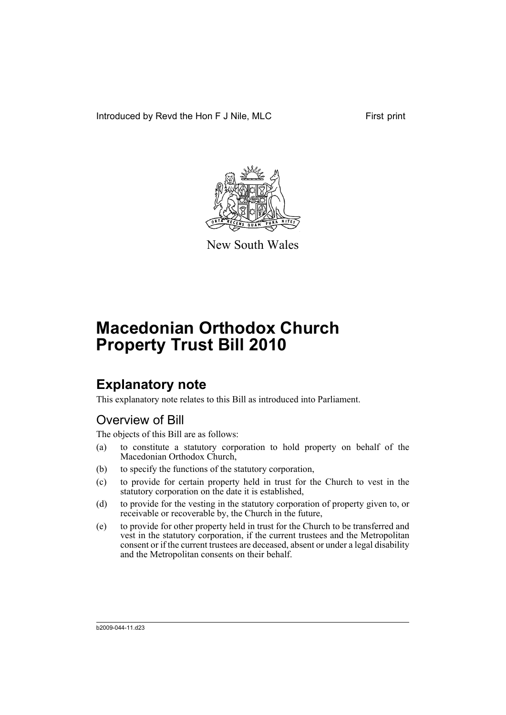Introduced by Revd the Hon F J Nile, MLC First print



New South Wales

# **Macedonian Orthodox Church Property Trust Bill 2010**

# **Explanatory note**

This explanatory note relates to this Bill as introduced into Parliament.

# Overview of Bill

The objects of this Bill are as follows:

- (a) to constitute a statutory corporation to hold property on behalf of the Macedonian Orthodox Church,
- (b) to specify the functions of the statutory corporation,
- (c) to provide for certain property held in trust for the Church to vest in the statutory corporation on the date it is established,
- (d) to provide for the vesting in the statutory corporation of property given to, or receivable or recoverable by, the Church in the future,
- (e) to provide for other property held in trust for the Church to be transferred and vest in the statutory corporation, if the current trustees and the Metropolitan consent or if the current trustees are deceased, absent or under a legal disability and the Metropolitan consents on their behalf.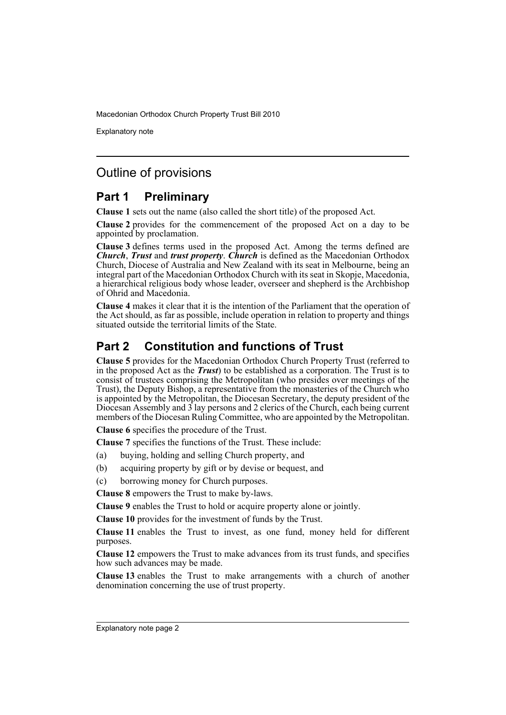Explanatory note

# Outline of provisions

# **Part 1 Preliminary**

**Clause 1** sets out the name (also called the short title) of the proposed Act.

**Clause 2** provides for the commencement of the proposed Act on a day to be appointed by proclamation.

**Clause 3** defines terms used in the proposed Act. Among the terms defined are *Church*, *Trust* and *trust property*. *Church* is defined as the Macedonian Orthodox Church, Diocese of Australia and New Zealand with its seat in Melbourne, being an integral part of the Macedonian Orthodox Church with its seat in Skopje, Macedonia, a hierarchical religious body whose leader, overseer and shepherd is the Archbishop of Ohrid and Macedonia.

**Clause 4** makes it clear that it is the intention of the Parliament that the operation of the Act should, as far as possible, include operation in relation to property and things situated outside the territorial limits of the State.

# **Part 2 Constitution and functions of Trust**

**Clause 5** provides for the Macedonian Orthodox Church Property Trust (referred to in the proposed Act as the *Trust*) to be established as a corporation. The Trust is to consist of trustees comprising the Metropolitan (who presides over meetings of the Trust), the Deputy Bishop, a representative from the monasteries of the Church who is appointed by the Metropolitan, the Diocesan Secretary, the deputy president of the Diocesan Assembly and 3 lay persons and 2 clerics of the Church, each being current members of the Diocesan Ruling Committee, who are appointed by the Metropolitan.

**Clause 6** specifies the procedure of the Trust.

**Clause 7** specifies the functions of the Trust. These include:

- (a) buying, holding and selling Church property, and
- (b) acquiring property by gift or by devise or bequest, and
- (c) borrowing money for Church purposes.

**Clause 8** empowers the Trust to make by-laws.

**Clause 9** enables the Trust to hold or acquire property alone or jointly.

**Clause 10** provides for the investment of funds by the Trust.

**Clause 11** enables the Trust to invest, as one fund, money held for different purposes.

**Clause 12** empowers the Trust to make advances from its trust funds, and specifies how such advances may be made.

**Clause 13** enables the Trust to make arrangements with a church of another denomination concerning the use of trust property.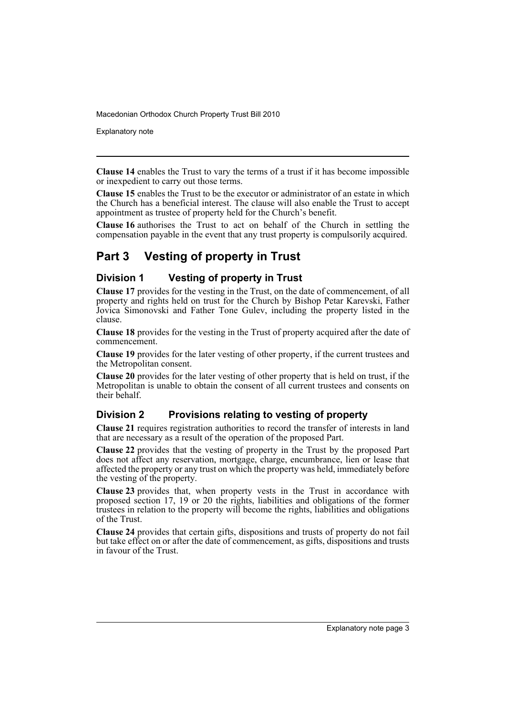Explanatory note

**Clause 14** enables the Trust to vary the terms of a trust if it has become impossible or inexpedient to carry out those terms.

**Clause 15** enables the Trust to be the executor or administrator of an estate in which the Church has a beneficial interest. The clause will also enable the Trust to accept appointment as trustee of property held for the Church's benefit.

**Clause 16** authorises the Trust to act on behalf of the Church in settling the compensation payable in the event that any trust property is compulsorily acquired.

# **Part 3 Vesting of property in Trust**

## **Division 1 Vesting of property in Trust**

**Clause 17** provides for the vesting in the Trust, on the date of commencement, of all property and rights held on trust for the Church by Bishop Petar Karevski, Father Jovica Simonovski and Father Tone Gulev, including the property listed in the clause.

**Clause 18** provides for the vesting in the Trust of property acquired after the date of commencement.

**Clause 19** provides for the later vesting of other property, if the current trustees and the Metropolitan consent.

**Clause 20** provides for the later vesting of other property that is held on trust, if the Metropolitan is unable to obtain the consent of all current trustees and consents on their behalf.

## **Division 2 Provisions relating to vesting of property**

**Clause 21** requires registration authorities to record the transfer of interests in land that are necessary as a result of the operation of the proposed Part.

**Clause 22** provides that the vesting of property in the Trust by the proposed Part does not affect any reservation, mortgage, charge, encumbrance, lien or lease that affected the property or any trust on which the property was held, immediately before the vesting of the property.

**Clause 23** provides that, when property vests in the Trust in accordance with proposed section 17, 19 or 20 the rights, liabilities and obligations of the former trustees in relation to the property will become the rights, liabilities and obligations of the Trust.

**Clause 24** provides that certain gifts, dispositions and trusts of property do not fail but take effect on or after the date of commencement, as gifts, dispositions and trusts in favour of the Trust.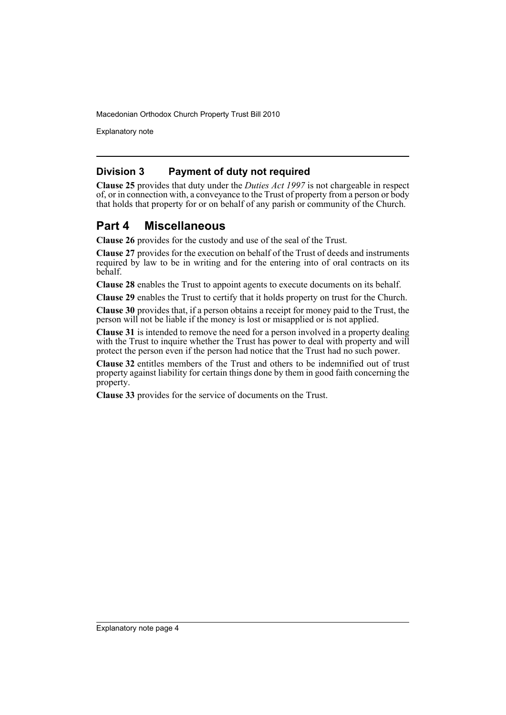Explanatory note

### **Division 3 Payment of duty not required**

**Clause 25** provides that duty under the *Duties Act 1997* is not chargeable in respect of, or in connection with, a conveyance to the Trust of property from a person or body that holds that property for or on behalf of any parish or community of the Church.

## **Part 4 Miscellaneous**

**Clause 26** provides for the custody and use of the seal of the Trust.

**Clause 27** provides for the execution on behalf of the Trust of deeds and instruments required by law to be in writing and for the entering into of oral contracts on its behalf.

**Clause 28** enables the Trust to appoint agents to execute documents on its behalf.

**Clause 29** enables the Trust to certify that it holds property on trust for the Church.

**Clause 30** provides that, if a person obtains a receipt for money paid to the Trust, the person will not be liable if the money is lost or misapplied or is not applied.

**Clause 31** is intended to remove the need for a person involved in a property dealing with the Trust to inquire whether the Trust has power to deal with property and will protect the person even if the person had notice that the Trust had no such power.

**Clause 32** entitles members of the Trust and others to be indemnified out of trust property against liability for certain things done by them in good faith concerning the property.

**Clause 33** provides for the service of documents on the Trust.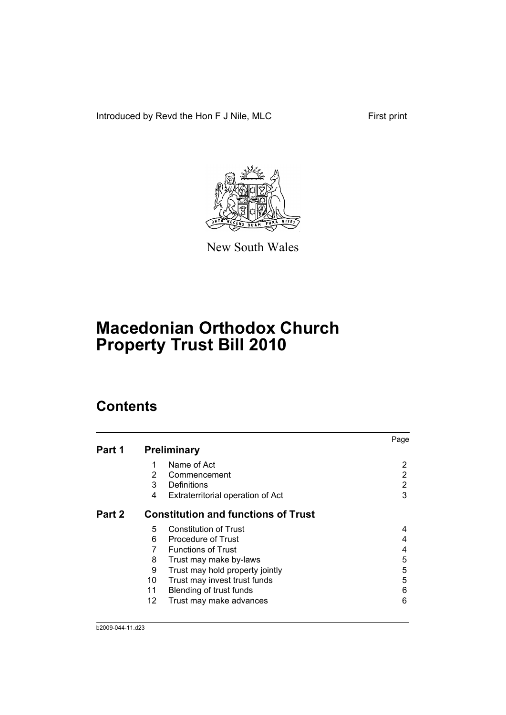Introduced by Revd the Hon F J Nile, MLC First print



New South Wales

# **Macedonian Orthodox Church Property Trust Bill 2010**

# **Contents**

|        |                |                                            | Page |
|--------|----------------|--------------------------------------------|------|
| Part 1 |                | <b>Preliminary</b>                         |      |
|        |                | Name of Act                                | 2    |
|        | $\overline{2}$ | Commencement                               | 2    |
|        | 3              | Definitions                                | 2    |
|        | 4              | Extraterritorial operation of Act          | 3    |
| Part 2 |                | <b>Constitution and functions of Trust</b> |      |
|        | 5              | <b>Constitution of Trust</b>               | 4    |
|        | 6              | <b>Procedure of Trust</b>                  | 4    |
|        | 7              | <b>Functions of Trust</b>                  | 4    |
|        | 8              | Trust may make by-laws                     | 5    |
|        | 9              | Trust may hold property jointly            | 5    |
|        | 10             | Trust may invest trust funds               | 5    |
|        | 11             | Blending of trust funds                    | 6    |
|        | 12             | Trust may make advances                    | 6    |
|        |                |                                            |      |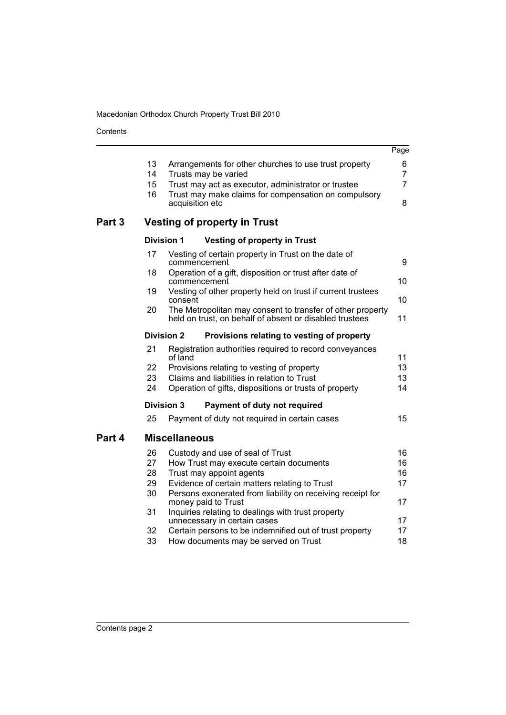Contents

J. 

|        |    |                                                                                                                       | Page           |
|--------|----|-----------------------------------------------------------------------------------------------------------------------|----------------|
|        | 13 | Arrangements for other churches to use trust property                                                                 | 6              |
|        | 14 | Trusts may be varied                                                                                                  | $\overline{7}$ |
|        | 15 | Trust may act as executor, administrator or trustee                                                                   | $\overline{7}$ |
|        | 16 | Trust may make claims for compensation on compulsory<br>acquisition etc                                               | 8              |
| Part 3 |    | <b>Vesting of property in Trust</b>                                                                                   |                |
|        |    | <b>Division 1</b><br><b>Vesting of property in Trust</b>                                                              |                |
|        | 17 | Vesting of certain property in Trust on the date of<br>commencement                                                   | 9              |
|        | 18 | Operation of a gift, disposition or trust after date of<br>commencement                                               | 10             |
|        | 19 | Vesting of other property held on trust if current trustees<br>consent                                                | 10             |
|        | 20 | The Metropolitan may consent to transfer of other property<br>held on trust, on behalf of absent or disabled trustees | 11             |
|        |    | <b>Division 2</b><br>Provisions relating to vesting of property                                                       |                |
|        | 21 | Registration authorities required to record conveyances<br>of land                                                    | 11             |
|        | 22 | Provisions relating to vesting of property                                                                            | 13             |
|        | 23 | Claims and liabilities in relation to Trust                                                                           | 13             |
|        | 24 | Operation of gifts, dispositions or trusts of property                                                                | 14             |
|        |    | <b>Division 3</b><br>Payment of duty not required                                                                     |                |
|        | 25 | Payment of duty not required in certain cases                                                                         | 15             |
| Part 4 |    | <b>Miscellaneous</b>                                                                                                  |                |
|        | 26 | Custody and use of seal of Trust                                                                                      | 16             |
|        | 27 | How Trust may execute certain documents                                                                               | 16             |
|        | 28 | Trust may appoint agents                                                                                              | 16             |
|        | 29 | Evidence of certain matters relating to Trust                                                                         | 17             |
|        | 30 | Persons exonerated from liability on receiving receipt for<br>money paid to Trust                                     | 17             |
|        | 31 | Inquiries relating to dealings with trust property<br>unnecessary in certain cases                                    | 17             |
|        | 32 | Certain persons to be indemnified out of trust property                                                               | 17             |
|        | 33 | How documents may be served on Trust                                                                                  | 18             |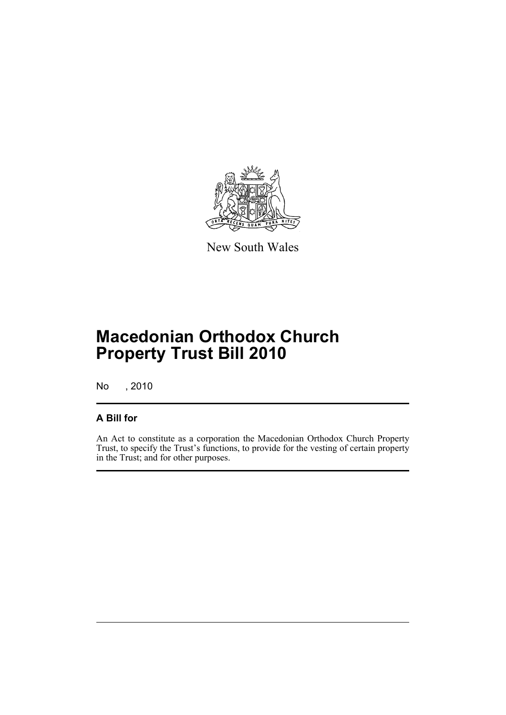

New South Wales

# **Macedonian Orthodox Church Property Trust Bill 2010**

No , 2010

## **A Bill for**

An Act to constitute as a corporation the Macedonian Orthodox Church Property Trust, to specify the Trust's functions, to provide for the vesting of certain property in the Trust; and for other purposes.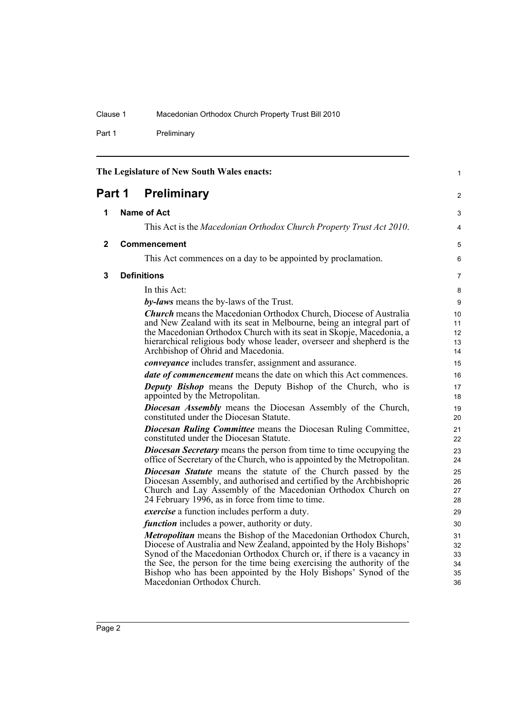Part 1 Preliminary

<span id="page-7-3"></span><span id="page-7-2"></span><span id="page-7-1"></span><span id="page-7-0"></span>

| The Legislature of New South Wales enacts: |  |                                                                                                                                                                                                                                                                                                                                                                                              |                                  |  |  |
|--------------------------------------------|--|----------------------------------------------------------------------------------------------------------------------------------------------------------------------------------------------------------------------------------------------------------------------------------------------------------------------------------------------------------------------------------------------|----------------------------------|--|--|
| Part 1                                     |  | <b>Preliminary</b>                                                                                                                                                                                                                                                                                                                                                                           | $\overline{2}$                   |  |  |
| 1                                          |  | <b>Name of Act</b>                                                                                                                                                                                                                                                                                                                                                                           | 3                                |  |  |
|                                            |  | This Act is the Macedonian Orthodox Church Property Trust Act 2010.                                                                                                                                                                                                                                                                                                                          | 4                                |  |  |
| $\mathbf{2}$                               |  | Commencement                                                                                                                                                                                                                                                                                                                                                                                 | 5                                |  |  |
|                                            |  | This Act commences on a day to be appointed by proclamation.                                                                                                                                                                                                                                                                                                                                 | 6                                |  |  |
| 3                                          |  | <b>Definitions</b>                                                                                                                                                                                                                                                                                                                                                                           | $\overline{7}$                   |  |  |
|                                            |  | In this Act:                                                                                                                                                                                                                                                                                                                                                                                 | 8                                |  |  |
|                                            |  | by-laws means the by-laws of the Trust.                                                                                                                                                                                                                                                                                                                                                      | 9                                |  |  |
|                                            |  | <b>Church</b> means the Macedonian Orthodox Church, Diocese of Australia<br>and New Zealand with its seat in Melbourne, being an integral part of<br>the Macedonian Orthodox Church with its seat in Skopje, Macedonia, a<br>hierarchical religious body whose leader, overseer and shepherd is the<br>Archbishop of Ohrid and Macedonia.                                                    | 10<br>11<br>12<br>13<br>14       |  |  |
|                                            |  | <i>conveyance</i> includes transfer, assignment and assurance.                                                                                                                                                                                                                                                                                                                               | 15                               |  |  |
|                                            |  | <i>date of commencement</i> means the date on which this Act commences.                                                                                                                                                                                                                                                                                                                      | 16                               |  |  |
|                                            |  | <b>Deputy Bishop</b> means the Deputy Bishop of the Church, who is<br>appointed by the Metropolitan.                                                                                                                                                                                                                                                                                         | 17<br>18                         |  |  |
|                                            |  | <b>Diocesan Assembly</b> means the Diocesan Assembly of the Church,<br>constituted under the Diocesan Statute.                                                                                                                                                                                                                                                                               | 19<br>20                         |  |  |
|                                            |  | <b>Diocesan Ruling Committee</b> means the Diocesan Ruling Committee,<br>constituted under the Diocesan Statute.                                                                                                                                                                                                                                                                             | 21<br>22                         |  |  |
|                                            |  | <b>Diocesan Secretary</b> means the person from time to time occupying the<br>office of Secretary of the Church, who is appointed by the Metropolitan.                                                                                                                                                                                                                                       | 23<br>24                         |  |  |
|                                            |  | Diocesan Statute means the statute of the Church passed by the<br>Diocesan Assembly, and authorised and certified by the Archbishopric<br>Church and Lay Assembly of the Macedonian Orthodox Church on<br>24 February 1996, as in force from time to time.                                                                                                                                   | 25<br>26<br>27<br>28             |  |  |
|                                            |  | <i>exercise</i> a function includes perform a duty.                                                                                                                                                                                                                                                                                                                                          | 29                               |  |  |
|                                            |  | <i>function</i> includes a power, authority or duty.                                                                                                                                                                                                                                                                                                                                         | 30                               |  |  |
|                                            |  | Metropolitan means the Bishop of the Macedonian Orthodox Church,<br>Diocese of Australia and New Zealand, appointed by the Holy Bishops'<br>Synod of the Macedonian Orthodox Church or, if there is a vacancy in<br>the See, the person for the time being exercising the authority of the<br>Bishop who has been appointed by the Holy Bishops' Synod of the<br>Macedonian Orthodox Church. | 31<br>32<br>33<br>34<br>35<br>36 |  |  |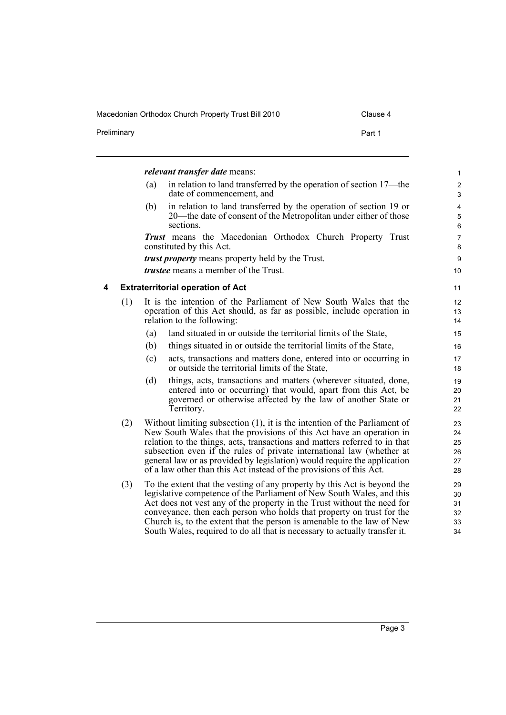<span id="page-8-0"></span>

| Preliminary |     |     | Part 1                                                                                                                                                                                                                                                                                                                                                                                                                                                         |                |
|-------------|-----|-----|----------------------------------------------------------------------------------------------------------------------------------------------------------------------------------------------------------------------------------------------------------------------------------------------------------------------------------------------------------------------------------------------------------------------------------------------------------------|----------------|
|             |     |     | <i>relevant transfer date means:</i>                                                                                                                                                                                                                                                                                                                                                                                                                           |                |
|             |     | (a) | in relation to land transferred by the operation of section 17—the<br>date of commencement, and                                                                                                                                                                                                                                                                                                                                                                |                |
|             |     | (b) | in relation to land transferred by the operation of section 19 or<br>20—the date of consent of the Metropolitan under either of those<br>sections.                                                                                                                                                                                                                                                                                                             |                |
|             |     |     | <b>Trust</b> means the Macedonian Orthodox Church Property Trust<br>constituted by this Act.                                                                                                                                                                                                                                                                                                                                                                   |                |
|             |     |     | <i>trust property</i> means property held by the Trust.                                                                                                                                                                                                                                                                                                                                                                                                        |                |
|             |     |     | <i>trustee</i> means a member of the Trust.                                                                                                                                                                                                                                                                                                                                                                                                                    |                |
| 4           |     |     | <b>Extraterritorial operation of Act</b>                                                                                                                                                                                                                                                                                                                                                                                                                       |                |
|             | (1) |     | It is the intention of the Parliament of New South Wales that the<br>operation of this Act should, as far as possible, include operation in<br>relation to the following:                                                                                                                                                                                                                                                                                      |                |
|             |     | (a) | land situated in or outside the territorial limits of the State,                                                                                                                                                                                                                                                                                                                                                                                               |                |
|             |     | (b) | things situated in or outside the territorial limits of the State,                                                                                                                                                                                                                                                                                                                                                                                             |                |
|             |     | (c) | acts, transactions and matters done, entered into or occurring in<br>or outside the territorial limits of the State,                                                                                                                                                                                                                                                                                                                                           |                |
|             |     | (d) | things, acts, transactions and matters (wherever situated, done,<br>entered into or occurring) that would, apart from this Act, be<br>governed or otherwise affected by the law of another State or<br>Territory.                                                                                                                                                                                                                                              | 20<br>22       |
|             | (2) |     | Without limiting subsection $(1)$ , it is the intention of the Parliament of<br>New South Wales that the provisions of this Act have an operation in<br>relation to the things, acts, transactions and matters referred to in that<br>subsection even if the rules of private international law (whether at<br>general law or as provided by legislation) would require the application<br>of a law other than this Act instead of the provisions of this Act. | 23<br>25<br>27 |
|             | (3) |     | To the extent that the vesting of any property by this Act is beyond the<br>legislative competence of the Parliament of New South Wales, and this<br>Act does not vest any of the property in the Trust without the need for<br>conveyance, then each person who holds that property on trust for the<br>Church is, to the extent that the person is amenable to the law of New<br>South Wales, required to do all that is necessary to actually transfer it.  |                |

### Macedonian Orthodox Church Property Trust Bill 2010 Clause 4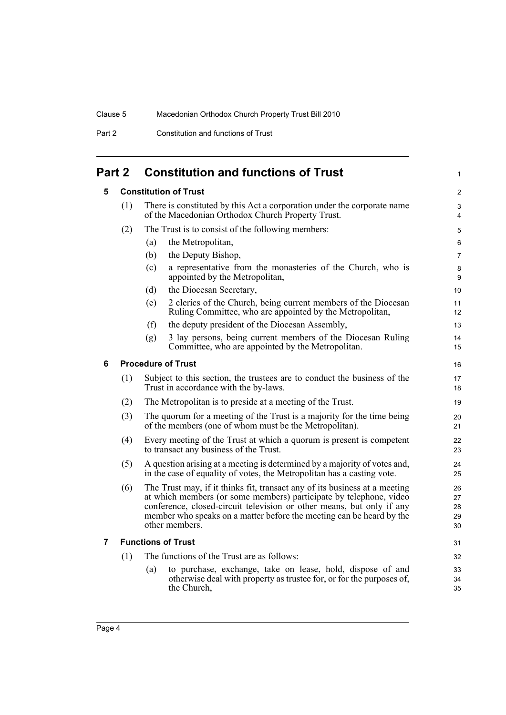Part 2 Constitution and functions of Trust

# <span id="page-9-1"></span><span id="page-9-0"></span>**Part 2 Constitution and functions of Trust**

<span id="page-9-3"></span><span id="page-9-2"></span>

| 5 |     |                                                                                                                | <b>Constitution of Trust</b>                                                                                                                                                                                                                                                                                        | $\overline{2}$             |  |  |
|---|-----|----------------------------------------------------------------------------------------------------------------|---------------------------------------------------------------------------------------------------------------------------------------------------------------------------------------------------------------------------------------------------------------------------------------------------------------------|----------------------------|--|--|
|   | (1) |                                                                                                                | There is constituted by this Act a corporation under the corporate name<br>of the Macedonian Orthodox Church Property Trust.                                                                                                                                                                                        | 3<br>4                     |  |  |
|   | (2) | The Trust is to consist of the following members:                                                              | 5                                                                                                                                                                                                                                                                                                                   |                            |  |  |
|   |     | (a)                                                                                                            | the Metropolitan,                                                                                                                                                                                                                                                                                                   | 6                          |  |  |
|   |     | (b)                                                                                                            | the Deputy Bishop,                                                                                                                                                                                                                                                                                                  | $\overline{7}$             |  |  |
|   |     | (c)                                                                                                            | a representative from the monasteries of the Church, who is<br>appointed by the Metropolitan,                                                                                                                                                                                                                       | 8<br>9                     |  |  |
|   |     | (d)                                                                                                            | the Diocesan Secretary,                                                                                                                                                                                                                                                                                             | 10                         |  |  |
|   |     | (e)                                                                                                            | 2 clerics of the Church, being current members of the Diocesan<br>Ruling Committee, who are appointed by the Metropolitan,                                                                                                                                                                                          | 11<br>12                   |  |  |
|   |     | (f)                                                                                                            | the deputy president of the Diocesan Assembly,                                                                                                                                                                                                                                                                      | 13                         |  |  |
|   |     | (g)                                                                                                            | 3 lay persons, being current members of the Diocesan Ruling<br>Committee, who are appointed by the Metropolitan.                                                                                                                                                                                                    | 14<br>15                   |  |  |
| 6 |     |                                                                                                                | <b>Procedure of Trust</b>                                                                                                                                                                                                                                                                                           | 16                         |  |  |
|   | (1) |                                                                                                                | Subject to this section, the trustees are to conduct the business of the<br>Trust in accordance with the by-laws.                                                                                                                                                                                                   | 17<br>18                   |  |  |
|   | (2) |                                                                                                                | The Metropolitan is to preside at a meeting of the Trust.                                                                                                                                                                                                                                                           | 19                         |  |  |
|   | (3) | 20<br>21                                                                                                       |                                                                                                                                                                                                                                                                                                                     |                            |  |  |
|   | (4) | Every meeting of the Trust at which a quorum is present is competent<br>to transact any business of the Trust. |                                                                                                                                                                                                                                                                                                                     |                            |  |  |
|   | (5) |                                                                                                                | A question arising at a meeting is determined by a majority of votes and,<br>in the case of equality of votes, the Metropolitan has a casting vote.                                                                                                                                                                 | 24<br>25                   |  |  |
|   | (6) |                                                                                                                | The Trust may, if it thinks fit, transact any of its business at a meeting<br>at which members (or some members) participate by telephone, video<br>conference, closed-circuit television or other means, but only if any<br>member who speaks on a matter before the meeting can be heard by the<br>other members. | 26<br>27<br>28<br>29<br>30 |  |  |
| 7 |     |                                                                                                                | <b>Functions of Trust</b>                                                                                                                                                                                                                                                                                           | 31                         |  |  |
|   | (1) |                                                                                                                | The functions of the Trust are as follows:                                                                                                                                                                                                                                                                          | 32                         |  |  |
|   |     | (a)                                                                                                            | to purchase, exchange, take on lease, hold, dispose of and<br>otherwise deal with property as trustee for, or for the purposes of,<br>the Church,                                                                                                                                                                   | 33<br>34<br>35             |  |  |
|   |     |                                                                                                                |                                                                                                                                                                                                                                                                                                                     |                            |  |  |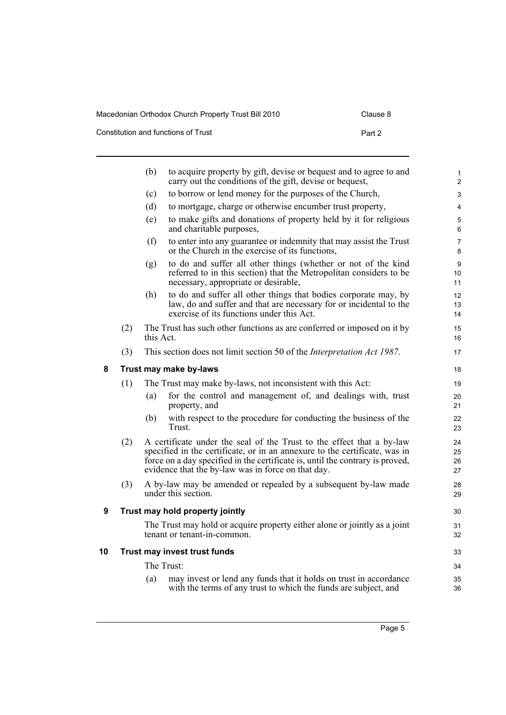## Macedonian Orthodox Church Property Trust Bill 2010 Clause 8

| Constitution and functions of Trust | Part 2 |
|-------------------------------------|--------|
|                                     |        |

<span id="page-10-2"></span><span id="page-10-1"></span><span id="page-10-0"></span>

|    |     | (b)       | to acquire property by gift, devise or bequest and to agree to and<br>carry out the conditions of the gift, devise or bequest,                                                                                                                                                             | $\mathbf{1}$<br>$\overline{2}$ |
|----|-----|-----------|--------------------------------------------------------------------------------------------------------------------------------------------------------------------------------------------------------------------------------------------------------------------------------------------|--------------------------------|
|    |     | (c)       | to borrow or lend money for the purposes of the Church,                                                                                                                                                                                                                                    | 3                              |
|    |     | (d)       | to mortgage, charge or otherwise encumber trust property,                                                                                                                                                                                                                                  | $\overline{4}$                 |
|    |     | (e)       | to make gifts and donations of property held by it for religious<br>and charitable purposes,                                                                                                                                                                                               | 5<br>6                         |
|    |     | (f)       | to enter into any guarantee or indemnity that may assist the Trust<br>or the Church in the exercise of its functions,                                                                                                                                                                      | $\overline{7}$<br>8            |
|    |     | (g)       | to do and suffer all other things (whether or not of the kind<br>referred to in this section) that the Metropolitan considers to be<br>necessary, appropriate or desirable,                                                                                                                | 9<br>10<br>11                  |
|    |     | (h)       | to do and suffer all other things that bodies corporate may, by<br>law, do and suffer and that are necessary for or incidental to the<br>exercise of its functions under this Act.                                                                                                         | 12<br>13<br>14                 |
|    | (2) | this Act. | The Trust has such other functions as are conferred or imposed on it by                                                                                                                                                                                                                    | 15<br>16                       |
|    | (3) |           | This section does not limit section 50 of the <i>Interpretation Act 1987</i> .                                                                                                                                                                                                             | 17                             |
| 8  |     |           | Trust may make by-laws                                                                                                                                                                                                                                                                     | 18                             |
|    | (1) |           | The Trust may make by-laws, not inconsistent with this Act:                                                                                                                                                                                                                                | 19                             |
|    |     | (a)       | for the control and management of, and dealings with, trust<br>property, and                                                                                                                                                                                                               | 20<br>21                       |
|    |     | (b)       | with respect to the procedure for conducting the business of the<br>Trust.                                                                                                                                                                                                                 | 22<br>23                       |
|    | (2) |           | A certificate under the seal of the Trust to the effect that a by-law<br>specified in the certificate, or in an annexure to the certificate, was in<br>force on a day specified in the certificate is, until the contrary is proved,<br>evidence that the by-law was in force on that day. | 24<br>25<br>26<br>27           |
|    | (3) |           | A by-law may be amended or repealed by a subsequent by-law made<br>under this section.                                                                                                                                                                                                     | 28<br>29                       |
| 9  |     |           | Trust may hold property jointly                                                                                                                                                                                                                                                            | 30                             |
|    |     |           | The Trust may hold or acquire property either alone or jointly as a joint<br>tenant or tenant-in-common.                                                                                                                                                                                   | 31<br>32                       |
| 10 |     |           | Trust may invest trust funds                                                                                                                                                                                                                                                               | 33                             |
|    |     |           | The Trust:                                                                                                                                                                                                                                                                                 | 34                             |
|    |     | (a)       | may invest or lend any funds that it holds on trust in accordance<br>with the terms of any trust to which the funds are subject, and                                                                                                                                                       | 35<br>36                       |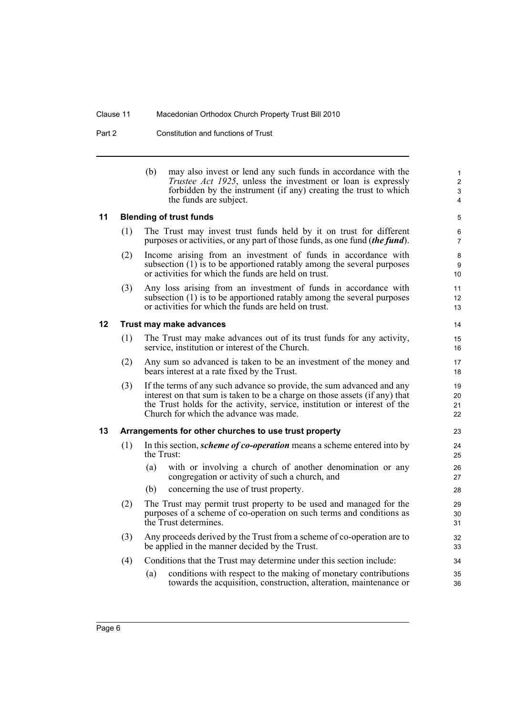Part 2 Constitution and functions of Trust

| (b) | may also invest or lend any such funds in accordance with the        |
|-----|----------------------------------------------------------------------|
|     | <i>Trustee Act 1925</i> , unless the investment or loan is expressly |
|     | forbidden by the instrument (if any) creating the trust to which     |
|     | the funds are subject.                                               |

### <span id="page-11-0"></span>**11 Blending of trust funds**

| (1) |  |  |  |  |  |  | The Trust may invest trust funds held by it on trust for different                  |
|-----|--|--|--|--|--|--|-------------------------------------------------------------------------------------|
|     |  |  |  |  |  |  | purposes or activities, or any part of those funds, as one fund <i>(the fund)</i> . |

- (2) Income arising from an investment of funds in accordance with subsection (1) is to be apportioned ratably among the several purposes or activities for which the funds are held on trust.
- (3) Any loss arising from an investment of funds in accordance with subsection (1) is to be apportioned ratably among the several purposes or activities for which the funds are held on trust.

### <span id="page-11-1"></span>**12 Trust may make advances**

- (1) The Trust may make advances out of its trust funds for any activity, service, institution or interest of the Church.
- (2) Any sum so advanced is taken to be an investment of the money and bears interest at a rate fixed by the Trust.
- (3) If the terms of any such advance so provide, the sum advanced and any interest on that sum is taken to be a charge on those assets (if any) that the Trust holds for the activity, service, institution or interest of the Church for which the advance was made.

### <span id="page-11-2"></span>**13 Arrangements for other churches to use trust property**

- (1) In this section, *scheme of co-operation* means a scheme entered into by the Trust:
	- (a) with or involving a church of another denomination or any congregation or activity of such a church, and
	- (b) concerning the use of trust property.
- (2) The Trust may permit trust property to be used and managed for the purposes of a scheme of co-operation on such terms and conditions as the Trust determines.
- (3) Any proceeds derived by the Trust from a scheme of co-operation are to be applied in the manner decided by the Trust.
- (4) Conditions that the Trust may determine under this section include:
	- (a) conditions with respect to the making of monetary contributions towards the acquisition, construction, alteration, maintenance or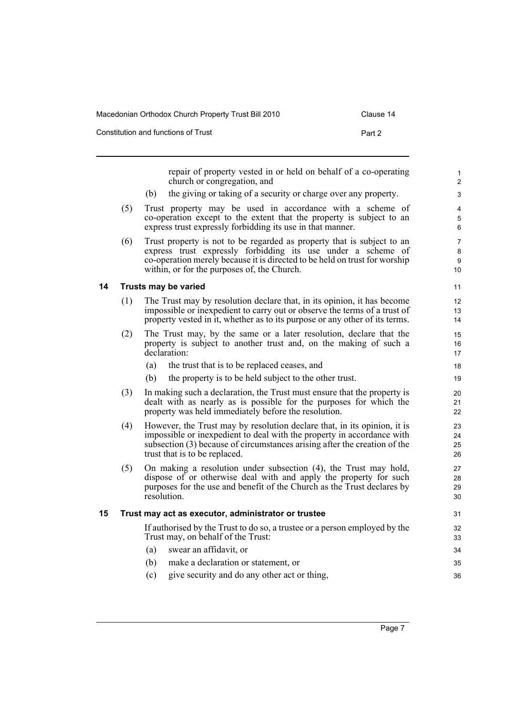| Macedonian Orthodox Church Property Trust Bill 2010 | Clause 14 |
|-----------------------------------------------------|-----------|
| Constitution and functions of Trust                 | Part 2    |

<span id="page-12-1"></span><span id="page-12-0"></span>

|    |     | repair of property vested in or held on behalf of a co-operating<br>church or congregation, and                                                                                                                                                                     | 1<br>$\overline{2}$  |
|----|-----|---------------------------------------------------------------------------------------------------------------------------------------------------------------------------------------------------------------------------------------------------------------------|----------------------|
|    |     | the giving or taking of a security or charge over any property.<br>(b)                                                                                                                                                                                              | 3                    |
|    | (5) | Trust property may be used in accordance with a scheme of<br>co-operation except to the extent that the property is subject to an<br>express trust expressly forbidding its use in that manner.                                                                     | 4<br>5<br>6          |
|    | (6) | Trust property is not to be regarded as property that is subject to an<br>express trust expressly forbidding its use under a scheme of<br>co-operation merely because it is directed to be held on trust for worship<br>within, or for the purposes of, the Church. | 7<br>8<br>9<br>10    |
| 14 |     | Trusts may be varied                                                                                                                                                                                                                                                | 11                   |
|    | (1) | The Trust may by resolution declare that, in its opinion, it has become<br>impossible or inexpedient to carry out or observe the terms of a trust of<br>property vested in it, whether as to its purpose or any other of its terms.                                 | 12<br>13<br>14       |
|    | (2) | The Trust may, by the same or a later resolution, declare that the<br>property is subject to another trust and, on the making of such a<br>declaration:                                                                                                             | 15<br>16<br>17       |
|    |     | (a)<br>the trust that is to be replaced ceases, and                                                                                                                                                                                                                 | 18                   |
|    |     | the property is to be held subject to the other trust.<br>(b)                                                                                                                                                                                                       | 19                   |
|    | (3) | In making such a declaration, the Trust must ensure that the property is<br>dealt with as nearly as is possible for the purposes for which the<br>property was held immediately before the resolution.                                                              | 20<br>21<br>22       |
|    | (4) | However, the Trust may by resolution declare that, in its opinion, it is<br>impossible or inexpedient to deal with the property in accordance with<br>subsection (3) because of circumstances arising after the creation of the<br>trust that is to be replaced.    | 23<br>24<br>25<br>26 |
|    | (5) | On making a resolution under subsection (4), the Trust may hold,<br>dispose of or otherwise deal with and apply the property for such<br>purposes for the use and benefit of the Church as the Trust declares by<br>resolution.                                     | 27<br>28<br>29<br>30 |
| 15 |     | Trust may act as executor, administrator or trustee                                                                                                                                                                                                                 | 31                   |
|    |     | If authorised by the Trust to do so, a trustee or a person employed by the<br>Trust may, on behalf of the Trust:                                                                                                                                                    | 32<br>33             |
|    |     | swear an affidavit, or<br>(a)                                                                                                                                                                                                                                       | 34                   |
|    |     | make a declaration or statement, or<br>(b)                                                                                                                                                                                                                          | 35                   |
|    |     | (c)<br>give security and do any other act or thing,                                                                                                                                                                                                                 | 36                   |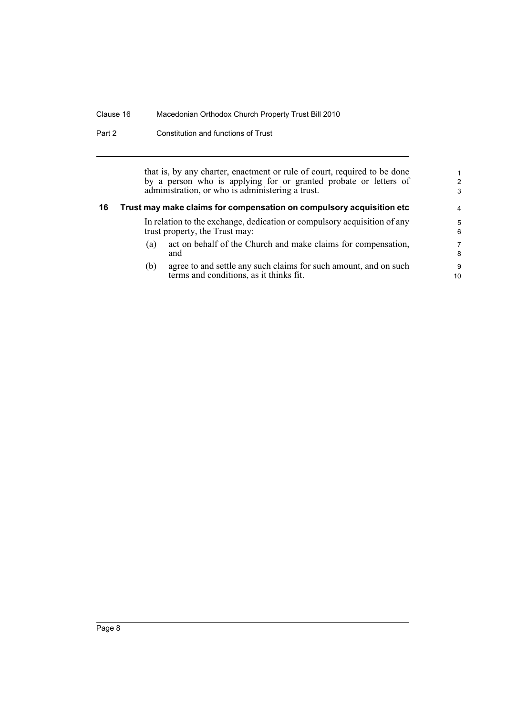Part 2 Constitution and functions of Trust

that is, by any charter, enactment or rule of court, required to be done by a person who is applying for or granted probate or letters of administration, or who is administering a trust.

## <span id="page-13-0"></span>**16 Trust may make claims for compensation on compulsory acquisition etc** In relation to the exchange, dedication or compulsory acquisition of any

- trust property, the Trust may:
- (a) act on behalf of the Church and make claims for compensation, and
- (b) agree to and settle any such claims for such amount, and on such terms and conditions, as it thinks fit.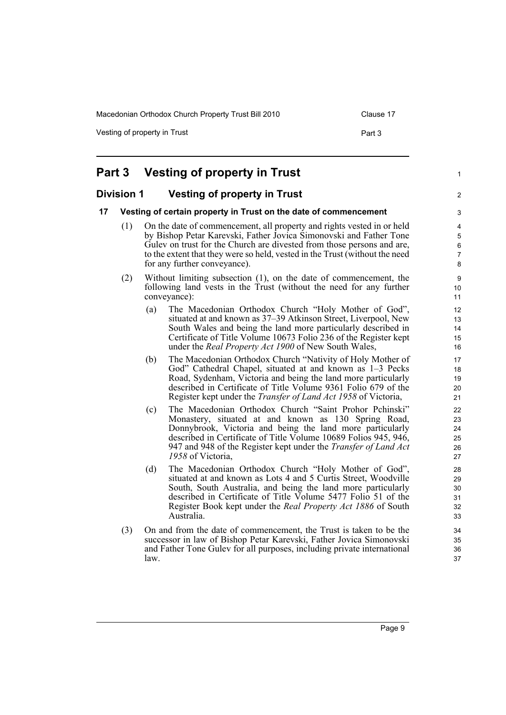Macedonian Orthodox Church Property Trust Bill 2010 Clause 17

Vesting of property in Trust **Part 3** Part 3

### <span id="page-14-2"></span><span id="page-14-1"></span><span id="page-14-0"></span>**Part 3 Vesting of property in Trust Division 1 Vesting of property in Trust 17 Vesting of certain property in Trust on the date of commencement** (1) On the date of commencement, all property and rights vested in or held by Bishop Petar Karevski, Father Jovica Simonovski and Father Tone Gulev on trust for the Church are divested from those persons and are, to the extent that they were so held, vested in the Trust (without the need for any further conveyance). (2) Without limiting subsection (1), on the date of commencement, the following land vests in the Trust (without the need for any further conveyance): (a) The Macedonian Orthodox Church "Holy Mother of God", situated at and known as 37–39 Atkinson Street, Liverpool, New South Wales and being the land more particularly described in Certificate of Title Volume 10673 Folio 236 of the Register kept under the *Real Property Act 1900* of New South Wales, (b) The Macedonian Orthodox Church "Nativity of Holy Mother of God" Cathedral Chapel, situated at and known as 1–3 Pecks Road, Sydenham, Victoria and being the land more particularly described in Certificate of Title Volume 9361 Folio 679 of the Register kept under the *Transfer of Land Act 1958* of Victoria, (c) The Macedonian Orthodox Church "Saint Prohor Pchinski" Monastery, situated at and known as 130 Spring Road, Donnybrook, Victoria and being the land more particularly described in Certificate of Title Volume 10689 Folios 945, 946, 947 and 948 of the Register kept under the *Transfer of Land Act 1958* of Victoria, (d) The Macedonian Orthodox Church "Holy Mother of God", situated at and known as Lots 4 and 5 Curtis Street, Woodville South, South Australia, and being the land more particularly described in Certificate of Title Volume 5477 Folio 51 of the Register Book kept under the *Real Property Act 1886* of South Australia. (3) On and from the date of commencement, the Trust is taken to be the successor in law of Bishop Petar Karevski, Father Jovica Simonovski and Father Tone Gulev for all purposes, including private international law. 1 2 3 4 5 6 7 8 9 10 11 12 13 14 15 16 17 18 19  $20$ 21 22 23 24 25 26 27 28 29 30 31 32 33 34 35 36 37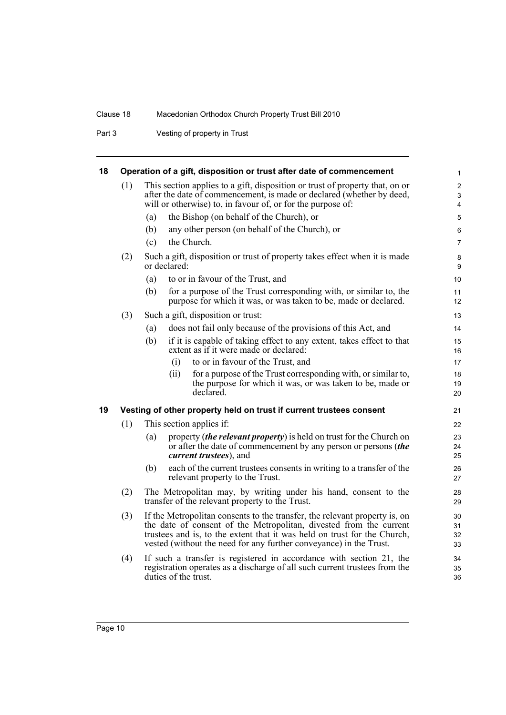Part 3 Vesting of property in Trust

<span id="page-15-1"></span><span id="page-15-0"></span>

| 18 |     | Operation of a gift, disposition or trust after date of commencement                                                                                                                                                                                                                               | $\mathbf{1}$                                                    |  |
|----|-----|----------------------------------------------------------------------------------------------------------------------------------------------------------------------------------------------------------------------------------------------------------------------------------------------------|-----------------------------------------------------------------|--|
|    | (1) | This section applies to a gift, disposition or trust of property that, on or<br>after the date of commencement, is made or declared (whether by deed,<br>will or otherwise) to, in favour of, or for the purpose of:                                                                               | $\boldsymbol{2}$<br>$\ensuremath{\mathsf{3}}$<br>$\overline{4}$ |  |
|    |     | the Bishop (on behalf of the Church), or<br>(a)                                                                                                                                                                                                                                                    | 5                                                               |  |
|    |     | any other person (on behalf of the Church), or<br>(b)                                                                                                                                                                                                                                              | 6                                                               |  |
|    |     | the Church.<br>(c)                                                                                                                                                                                                                                                                                 | $\overline{7}$                                                  |  |
|    | (2) | Such a gift, disposition or trust of property takes effect when it is made<br>or declared:                                                                                                                                                                                                         | 8<br>9                                                          |  |
|    |     | to or in favour of the Trust, and<br>(a)                                                                                                                                                                                                                                                           | 10                                                              |  |
|    |     | (b)<br>for a purpose of the Trust corresponding with, or similar to, the<br>purpose for which it was, or was taken to be, made or declared.                                                                                                                                                        | 11<br>12                                                        |  |
|    | (3) | Such a gift, disposition or trust:                                                                                                                                                                                                                                                                 | 13                                                              |  |
|    |     | does not fail only because of the provisions of this Act, and<br>(a)                                                                                                                                                                                                                               | 14                                                              |  |
|    |     | if it is capable of taking effect to any extent, takes effect to that<br>(b)<br>extent as if it were made or declared:                                                                                                                                                                             | 15<br>16                                                        |  |
|    |     | to or in favour of the Trust, and<br>(i)                                                                                                                                                                                                                                                           | 17                                                              |  |
|    |     | for a purpose of the Trust corresponding with, or similar to,<br>(ii)<br>the purpose for which it was, or was taken to be, made or<br>declared.                                                                                                                                                    | 18<br>19<br>20                                                  |  |
| 19 |     | Vesting of other property held on trust if current trustees consent                                                                                                                                                                                                                                | 21                                                              |  |
|    | (1) | This section applies if:                                                                                                                                                                                                                                                                           | 22                                                              |  |
|    |     | property ( <i>the relevant property</i> ) is held on trust for the Church on<br>(a)<br>or after the date of commencement by any person or persons (the<br><i>current trustees</i> ), and                                                                                                           | 23<br>24<br>25                                                  |  |
|    |     | each of the current trustees consents in writing to a transfer of the<br>(b)<br>relevant property to the Trust.                                                                                                                                                                                    | 26<br>27                                                        |  |
|    | (2) | The Metropolitan may, by writing under his hand, consent to the<br>transfer of the relevant property to the Trust.                                                                                                                                                                                 | 28<br>29                                                        |  |
|    | (3) | If the Metropolitan consents to the transfer, the relevant property is, on<br>the date of consent of the Metropolitan, divested from the current<br>trustees and is, to the extent that it was held on trust for the Church,<br>vested (without the need for any further conveyance) in the Trust. |                                                                 |  |
|    | (4) | If such a transfer is registered in accordance with section 21, the<br>registration operates as a discharge of all such current trustees from the<br>duties of the trust.                                                                                                                          | 34<br>35<br>36                                                  |  |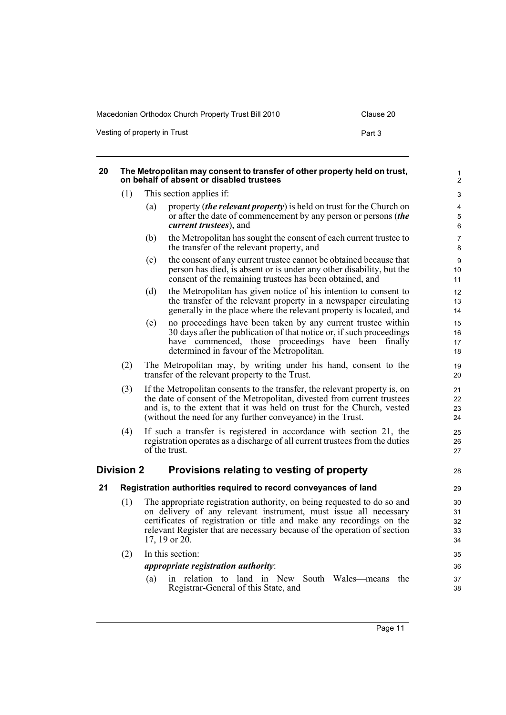Macedonian Orthodox Church Property Trust Bill 2010 Clause 20 Vesting of property in Trust **Part 3** Part 3

<span id="page-16-2"></span><span id="page-16-1"></span><span id="page-16-0"></span>

| 20 | The Metropolitan may consent to transfer of other property held on trust,<br>on behalf of absent or disabled trustees                                                                                                                           |     |                                                                                                                                                                                                                                                                                                                  |                            |  |  |
|----|-------------------------------------------------------------------------------------------------------------------------------------------------------------------------------------------------------------------------------------------------|-----|------------------------------------------------------------------------------------------------------------------------------------------------------------------------------------------------------------------------------------------------------------------------------------------------------------------|----------------------------|--|--|
|    | (1)                                                                                                                                                                                                                                             |     | This section applies if:                                                                                                                                                                                                                                                                                         | 3                          |  |  |
|    |                                                                                                                                                                                                                                                 | (a) | property <i>(the relevant property)</i> is held on trust for the Church on<br>or after the date of commencement by any person or persons (the<br><i>current trustees</i> ), and                                                                                                                                  | 4<br>5<br>$\,6\,$          |  |  |
|    |                                                                                                                                                                                                                                                 | (b) | the Metropolitan has sought the consent of each current trustee to<br>the transfer of the relevant property, and                                                                                                                                                                                                 | 7<br>8                     |  |  |
|    |                                                                                                                                                                                                                                                 | (c) | the consent of any current trustee cannot be obtained because that<br>person has died, is absent or is under any other disability, but the<br>consent of the remaining trustees has been obtained, and                                                                                                           | 9<br>10<br>11              |  |  |
|    |                                                                                                                                                                                                                                                 | (d) | the Metropolitan has given notice of his intention to consent to<br>the transfer of the relevant property in a newspaper circulating<br>generally in the place where the relevant property is located, and                                                                                                       | 12<br>13<br>14             |  |  |
|    | no proceedings have been taken by any current trustee within<br>(e)<br>30 days after the publication of that notice or, if such proceedings<br>have commenced, those proceedings have been finally<br>determined in favour of the Metropolitan. |     |                                                                                                                                                                                                                                                                                                                  |                            |  |  |
|    | (2)                                                                                                                                                                                                                                             |     | The Metropolitan may, by writing under his hand, consent to the<br>transfer of the relevant property to the Trust.                                                                                                                                                                                               | 19<br>20                   |  |  |
|    | (3)                                                                                                                                                                                                                                             |     | If the Metropolitan consents to the transfer, the relevant property is, on<br>the date of consent of the Metropolitan, divested from current trustees<br>and is, to the extent that it was held on trust for the Church, vested<br>(without the need for any further conveyance) in the Trust.                   | 21<br>22<br>23<br>24       |  |  |
|    | (4)                                                                                                                                                                                                                                             |     | If such a transfer is registered in accordance with section 21, the<br>registration operates as a discharge of all current trustees from the duties<br>of the trust.                                                                                                                                             | 25<br>26<br>27             |  |  |
|    | <b>Division 2</b>                                                                                                                                                                                                                               |     | Provisions relating to vesting of property                                                                                                                                                                                                                                                                       | 28                         |  |  |
| 21 |                                                                                                                                                                                                                                                 |     | Registration authorities required to record conveyances of land                                                                                                                                                                                                                                                  | 29                         |  |  |
|    | (1)                                                                                                                                                                                                                                             |     | The appropriate registration authority, on being requested to do so and<br>on delivery of any relevant instrument, must issue all necessary<br>certificates of registration or title and make any recordings on the<br>relevant Register that are necessary because of the operation of section<br>17, 19 or 20. | 30<br>31<br>32<br>33<br>34 |  |  |
|    | (2)                                                                                                                                                                                                                                             |     | In this section:                                                                                                                                                                                                                                                                                                 | 35                         |  |  |
|    |                                                                                                                                                                                                                                                 |     | <i>appropriate registration authority:</i>                                                                                                                                                                                                                                                                       | 36                         |  |  |
|    |                                                                                                                                                                                                                                                 | (a) | in relation to land in New South Wales—means<br>the<br>Registrar-General of this State, and                                                                                                                                                                                                                      | 37<br>38                   |  |  |
|    |                                                                                                                                                                                                                                                 |     |                                                                                                                                                                                                                                                                                                                  |                            |  |  |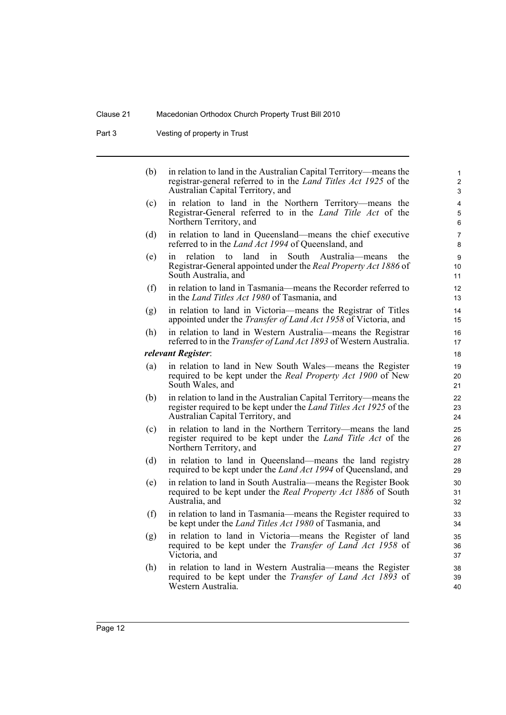Part 3 Vesting of property in Trust

| (b) | in relation to land in the Australian Capital Territory—means the<br>registrar-general referred to in the <i>Land Titles Act 1925</i> of the<br>Australian Capital Territory, and | $\mathbf{1}$<br>2<br>3 |
|-----|-----------------------------------------------------------------------------------------------------------------------------------------------------------------------------------|------------------------|
| (c) | in relation to land in the Northern Territory—means the<br>Registrar-General referred to in the <i>Land Title Act</i> of the<br>Northern Territory, and                           | 4<br>5<br>6            |
| (d) | in relation to land in Queensland—means the chief executive<br>referred to in the <i>Land Act 1994</i> of Queensland, and                                                         | $\overline{7}$<br>8    |
| (e) | relation<br>land<br>South<br>Australia-means<br>to<br>in<br>the<br>in.<br>Registrar-General appointed under the Real Property Act 1886 of<br>South Australia, and                 | 9<br>10<br>11          |
| (f) | in relation to land in Tasmania—means the Recorder referred to<br>in the Land Titles Act 1980 of Tasmania, and                                                                    | 12<br>13               |
| (g) | in relation to land in Victoria-means the Registrar of Titles<br>appointed under the <i>Transfer of Land Act 1958</i> of Victoria, and                                            | 14<br>15               |
| (h) | in relation to land in Western Australia-means the Registrar<br>referred to in the <i>Transfer of Land Act 1893</i> of Western Australia.                                         | 16<br>17               |
|     | relevant Register:                                                                                                                                                                | 18                     |
| (a) | in relation to land in New South Wales—means the Register<br>required to be kept under the <i>Real Property Act 1900</i> of New<br>South Wales, and                               | 19<br>20<br>21         |
| (b) | in relation to land in the Australian Capital Territory—means the<br>register required to be kept under the Land Titles Act 1925 of the<br>Australian Capital Territory, and      | 22<br>23<br>24         |
| (c) | in relation to land in the Northern Territory—means the land<br>register required to be kept under the Land Title Act of the<br>Northern Territory, and                           | 25<br>26<br>27         |
| (d) | in relation to land in Queensland—means the land registry<br>required to be kept under the <i>Land Act 1994</i> of Queensland, and                                                | 28<br>29               |
| (e) | in relation to land in South Australia-means the Register Book<br>required to be kept under the Real Property Act 1886 of South<br>Australia, and                                 | 30<br>31<br>32         |
| (f) | in relation to land in Tasmania—means the Register required to<br>be kept under the <i>Land Titles Act 1980</i> of Tasmania, and                                                  | 33<br>34               |
| (g) | in relation to land in Victoria—means the Register of land<br>required to be kept under the Transfer of Land Act 1958 of<br>Victoria, and                                         | 35<br>36<br>37         |
| (h) | in relation to land in Western Australia—means the Register<br>required to be kept under the <i>Transfer of Land Act 1893</i> of<br>Western Australia.                            | 38<br>39<br>40         |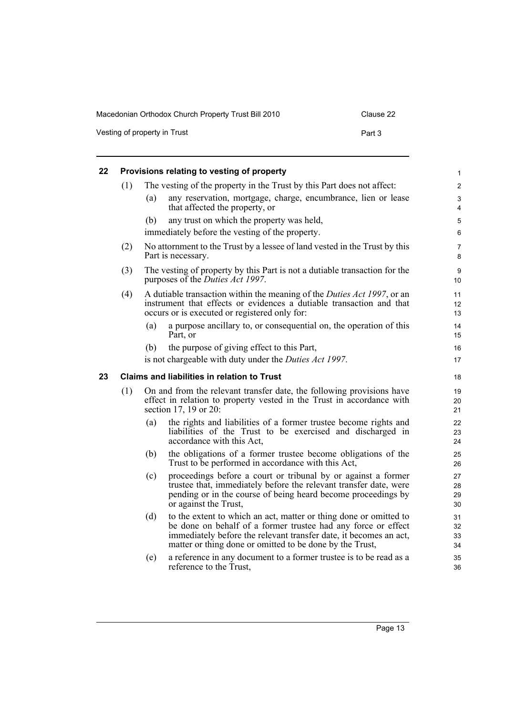| Macedonian Orthodox Church Property Trust Bill 2010 | Clause 22 |
|-----------------------------------------------------|-----------|
| Vesting of property in Trust                        | Part 3    |

<span id="page-18-1"></span><span id="page-18-0"></span>

| 22 |     |                                                                                                                        | Provisions relating to vesting of property                                                                                                                                                                                                                          | 1                    |  |
|----|-----|------------------------------------------------------------------------------------------------------------------------|---------------------------------------------------------------------------------------------------------------------------------------------------------------------------------------------------------------------------------------------------------------------|----------------------|--|
|    | (1) | The vesting of the property in the Trust by this Part does not affect:                                                 |                                                                                                                                                                                                                                                                     |                      |  |
|    |     | (a)                                                                                                                    | any reservation, mortgage, charge, encumbrance, lien or lease<br>that affected the property, or                                                                                                                                                                     | 3<br>4               |  |
|    |     | (b)                                                                                                                    | any trust on which the property was held,                                                                                                                                                                                                                           | 5                    |  |
|    |     |                                                                                                                        | immediately before the vesting of the property.                                                                                                                                                                                                                     | 6                    |  |
|    | (2) |                                                                                                                        | No attornment to the Trust by a lessee of land vested in the Trust by this<br>Part is necessary.                                                                                                                                                                    | 7<br>8               |  |
|    | (3) | The vesting of property by this Part is not a dutiable transaction for the<br>purposes of the <i>Duties Act 1997</i> . |                                                                                                                                                                                                                                                                     |                      |  |
|    | (4) |                                                                                                                        | A dutiable transaction within the meaning of the <i>Duties Act 1997</i> , or an<br>instrument that effects or evidences a dutiable transaction and that<br>occurs or is executed or registered only for:                                                            | 11<br>12<br>13       |  |
|    |     | (a)                                                                                                                    | a purpose ancillary to, or consequential on, the operation of this<br>Part, or                                                                                                                                                                                      | 14<br>15             |  |
|    |     | (b)                                                                                                                    | the purpose of giving effect to this Part,                                                                                                                                                                                                                          | 16                   |  |
|    |     |                                                                                                                        | is not chargeable with duty under the <i>Duties Act 1997</i> .                                                                                                                                                                                                      | 17                   |  |
| 23 |     |                                                                                                                        | <b>Claims and liabilities in relation to Trust</b>                                                                                                                                                                                                                  | 18                   |  |
|    | (1) |                                                                                                                        | On and from the relevant transfer date, the following provisions have<br>effect in relation to property vested in the Trust in accordance with<br>section 17, 19 or 20:                                                                                             | 19<br>20<br>21       |  |
|    |     | (a)                                                                                                                    | the rights and liabilities of a former trustee become rights and<br>liabilities of the Trust to be exercised and discharged in<br>accordance with this Act.                                                                                                         | 22<br>23<br>24       |  |
|    |     | (b)                                                                                                                    | the obligations of a former trustee become obligations of the<br>Trust to be performed in accordance with this Act,                                                                                                                                                 | 25<br>26             |  |
|    |     | (c)                                                                                                                    | proceedings before a court or tribunal by or against a former<br>trustee that, immediately before the relevant transfer date, were<br>pending or in the course of being heard become proceedings by<br>or against the Trust,                                        | 27<br>28<br>29<br>30 |  |
|    |     | (d)                                                                                                                    | to the extent to which an act, matter or thing done or omitted to<br>be done on behalf of a former trustee had any force or effect<br>immediately before the relevant transfer date, it becomes an act,<br>matter or thing done or omitted to be done by the Trust, | 31<br>32<br>33<br>34 |  |
|    |     | (e)                                                                                                                    | a reference in any document to a former trustee is to be read as a<br>reference to the Trust,                                                                                                                                                                       | 35<br>36             |  |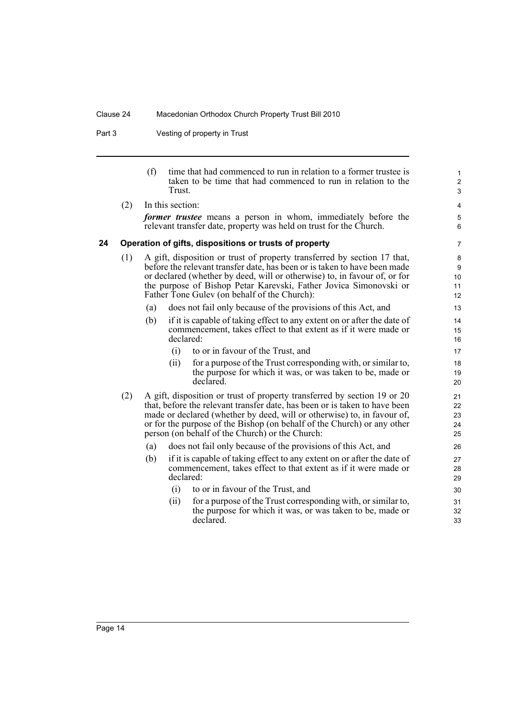Part 3 Vesting of property in Trust

<span id="page-19-0"></span>

|    |     | (f) | Trust.           | time that had commenced to run in relation to a former trustee is<br>taken to be time that had commenced to run in relation to the                                                                                                                                                                                                                              | $\mathbf{1}$<br>$\overline{c}$<br>3 |
|----|-----|-----|------------------|-----------------------------------------------------------------------------------------------------------------------------------------------------------------------------------------------------------------------------------------------------------------------------------------------------------------------------------------------------------------|-------------------------------------|
|    | (2) |     | In this section: | <i>former trustee</i> means a person in whom, immediately before the<br>relevant transfer date, property was held on trust for the Church.                                                                                                                                                                                                                      | 4<br>5<br>6                         |
| 24 |     |     |                  | Operation of gifts, dispositions or trusts of property                                                                                                                                                                                                                                                                                                          | $\overline{7}$                      |
|    | (1) |     |                  | A gift, disposition or trust of property transferred by section 17 that,<br>before the relevant transfer date, has been or is taken to have been made<br>or declared (whether by deed, will or otherwise) to, in favour of, or for<br>the purpose of Bishop Petar Karevski, Father Jovica Simonovski or<br>Father Tone Gulev (on behalf of the Church):         | 8<br>9<br>10<br>11<br>12            |
|    |     | (a) |                  | does not fail only because of the provisions of this Act, and                                                                                                                                                                                                                                                                                                   | 13                                  |
|    |     | (b) | declared:        | if it is capable of taking effect to any extent on or after the date of<br>commencement, takes effect to that extent as if it were made or                                                                                                                                                                                                                      | 14<br>15<br>16                      |
|    |     |     | (i)              | to or in favour of the Trust, and                                                                                                                                                                                                                                                                                                                               | 17                                  |
|    |     |     | (ii)             | for a purpose of the Trust corresponding with, or similar to,<br>the purpose for which it was, or was taken to be, made or<br>declared.                                                                                                                                                                                                                         | 18<br>19<br>20                      |
|    | (2) |     |                  | A gift, disposition or trust of property transferred by section 19 or 20<br>that, before the relevant transfer date, has been or is taken to have been<br>made or declared (whether by deed, will or otherwise) to, in favour of,<br>or for the purpose of the Bishop (on behalf of the Church) or any other<br>person (on behalf of the Church) or the Church: | 21<br>22<br>23<br>24<br>25          |
|    |     | (a) |                  | does not fail only because of the provisions of this Act, and                                                                                                                                                                                                                                                                                                   | 26                                  |
|    |     | (b) | declared:        | if it is capable of taking effect to any extent on or after the date of<br>commencement, takes effect to that extent as if it were made or                                                                                                                                                                                                                      | 27<br>28<br>29                      |
|    |     |     | (i)<br>(ii)      | to or in favour of the Trust, and<br>for a purpose of the Trust corresponding with, or similar to,<br>the purpose for which it was, or was taken to be, made or<br>declared.                                                                                                                                                                                    | 30<br>31<br>32<br>33                |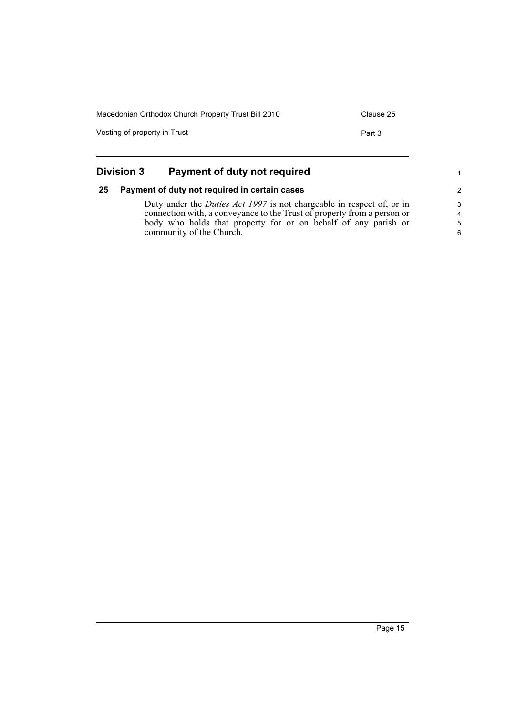| Macedonian Orthodox Church Property Trust Bill 2010 | Clause 25 |
|-----------------------------------------------------|-----------|
| Vesting of property in Trust                        | Part 3    |
|                                                     |           |

<span id="page-20-1"></span><span id="page-20-0"></span>

|    | <b>Division 3</b><br>Payment of duty not required                                                                                                                                                                                                     |                                |
|----|-------------------------------------------------------------------------------------------------------------------------------------------------------------------------------------------------------------------------------------------------------|--------------------------------|
| 25 | Payment of duty not required in certain cases                                                                                                                                                                                                         | $\overline{2}$                 |
|    | Duty under the <i>Duties Act 1997</i> is not chargeable in respect of, or in<br>connection with, a conveyance to the Trust of property from a person or<br>body who holds that property for or on behalf of any parish or<br>community of the Church. | 3<br>$\overline{4}$<br>-5<br>6 |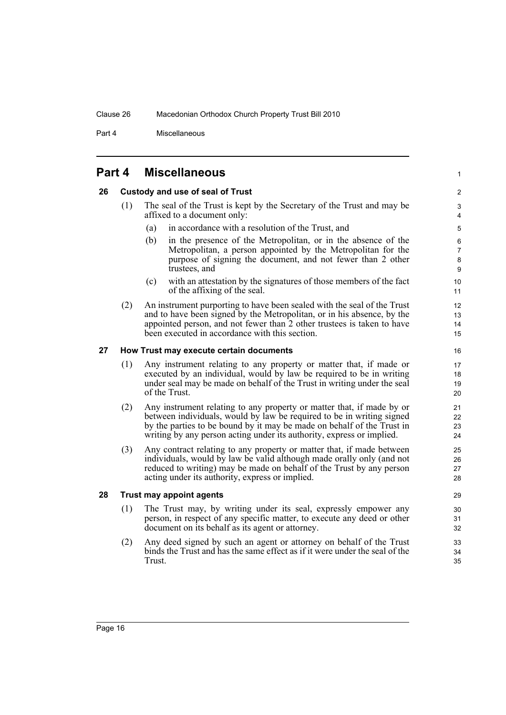Part 4 Miscellaneous

<span id="page-21-0"></span>

| Part 4 | <b>Miscellaneous</b> |
|--------|----------------------|
|--------|----------------------|

### <span id="page-21-1"></span>**26 Custody and use of seal of Trust**

- (1) The seal of the Trust is kept by the Secretary of the Trust and may be affixed to a document only:
	- (a) in accordance with a resolution of the Trust, and
	- (b) in the presence of the Metropolitan, or in the absence of the Metropolitan, a person appointed by the Metropolitan for the purpose of signing the document, and not fewer than 2 other trustees, and
	- (c) with an attestation by the signatures of those members of the fact of the affixing of the seal.
- (2) An instrument purporting to have been sealed with the seal of the Trust and to have been signed by the Metropolitan, or in his absence, by the appointed person, and not fewer than 2 other trustees is taken to have been executed in accordance with this section.

### <span id="page-21-2"></span>**27 How Trust may execute certain documents**

- (1) Any instrument relating to any property or matter that, if made or executed by an individual, would by law be required to be in writing under seal may be made on behalf of the Trust in writing under the seal of the Trust.
- (2) Any instrument relating to any property or matter that, if made by or between individuals, would by law be required to be in writing signed by the parties to be bound by it may be made on behalf of the Trust in writing by any person acting under its authority, express or implied.
- (3) Any contract relating to any property or matter that, if made between individuals, would by law be valid although made orally only (and not reduced to writing) may be made on behalf of the Trust by any person acting under its authority, express or implied.

### <span id="page-21-3"></span>**28 Trust may appoint agents**

- (1) The Trust may, by writing under its seal, expressly empower any person, in respect of any specific matter, to execute any deed or other document on its behalf as its agent or attorney.
- (2) Any deed signed by such an agent or attorney on behalf of the Trust binds the Trust and has the same effect as if it were under the seal of the Trust.

29 30

1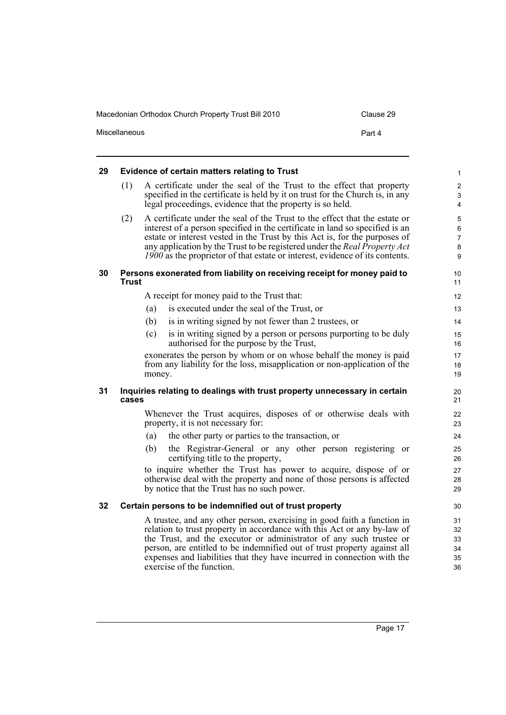| Macedonian Orthodox Church Property Trust Bill 2010 | Clause 29 |
|-----------------------------------------------------|-----------|
| <b>Miscellaneous</b>                                | Part 4    |

<span id="page-22-1"></span><span id="page-22-0"></span>

| 29 | <b>Evidence of certain matters relating to Trust</b> |                                                                                                                                                                                                                                                                                                                                                                                                       |                                                    |
|----|------------------------------------------------------|-------------------------------------------------------------------------------------------------------------------------------------------------------------------------------------------------------------------------------------------------------------------------------------------------------------------------------------------------------------------------------------------------------|----------------------------------------------------|
|    | (1)                                                  | A certificate under the seal of the Trust to the effect that property<br>specified in the certificate is held by it on trust for the Church is, in any<br>legal proceedings, evidence that the property is so held.                                                                                                                                                                                   | $\overline{2}$<br>$\mathfrak{S}$<br>4              |
|    | (2)                                                  | A certificate under the seal of the Trust to the effect that the estate or<br>interest of a person specified in the certificate in land so specified is an<br>estate or interest vested in the Trust by this Act is, for the purposes of<br>any application by the Trust to be registered under the Real Property Act<br>1900 as the proprietor of that estate or interest, evidence of its contents. | $\mathbf 5$<br>$\,6\,$<br>$\overline{7}$<br>8<br>9 |
| 30 | Trust                                                | Persons exonerated from liability on receiving receipt for money paid to                                                                                                                                                                                                                                                                                                                              | 10<br>11                                           |
|    |                                                      | A receipt for money paid to the Trust that:                                                                                                                                                                                                                                                                                                                                                           | 12                                                 |
|    |                                                      | is executed under the seal of the Trust, or<br>(a)                                                                                                                                                                                                                                                                                                                                                    | 13                                                 |
|    |                                                      | is in writing signed by not fewer than 2 trustees, or<br>(b)                                                                                                                                                                                                                                                                                                                                          | 14                                                 |
|    |                                                      | (c)<br>is in writing signed by a person or persons purporting to be duly<br>authorised for the purpose by the Trust,                                                                                                                                                                                                                                                                                  | 15<br>16                                           |
|    |                                                      | exonerates the person by whom or on whose behalf the money is paid<br>from any liability for the loss, misapplication or non-application of the<br>money.                                                                                                                                                                                                                                             | 17<br>18<br>19                                     |
| 31 | cases                                                | Inquiries relating to dealings with trust property unnecessary in certain                                                                                                                                                                                                                                                                                                                             | 20<br>21                                           |
|    |                                                      | Whenever the Trust acquires, disposes of or otherwise deals with<br>property, it is not necessary for:                                                                                                                                                                                                                                                                                                | 22<br>23                                           |
|    |                                                      | (a)<br>the other party or parties to the transaction, or                                                                                                                                                                                                                                                                                                                                              | 24                                                 |
|    |                                                      | the Registrar-General or any other person registering or<br>(b)<br>certifying title to the property,                                                                                                                                                                                                                                                                                                  | 25<br>26                                           |
|    |                                                      | to inquire whether the Trust has power to acquire, dispose of or<br>otherwise deal with the property and none of those persons is affected<br>by notice that the Trust has no such power.                                                                                                                                                                                                             | 27<br>28<br>29                                     |
| 32 |                                                      | Certain persons to be indemnified out of trust property                                                                                                                                                                                                                                                                                                                                               | 30                                                 |
|    |                                                      | A trustee, and any other person, exercising in good faith a function in<br>relation to trust property in accordance with this Act or any by-law of<br>the Trust, and the executor or administrator of any such trustee or<br>person, are entitled to be indemnified out of trust property against all<br>expenses and liabilities that they have incurred in connection with the                      | 31<br>32<br>33<br>34<br>35                         |

<span id="page-22-3"></span><span id="page-22-2"></span>exercise of the function.